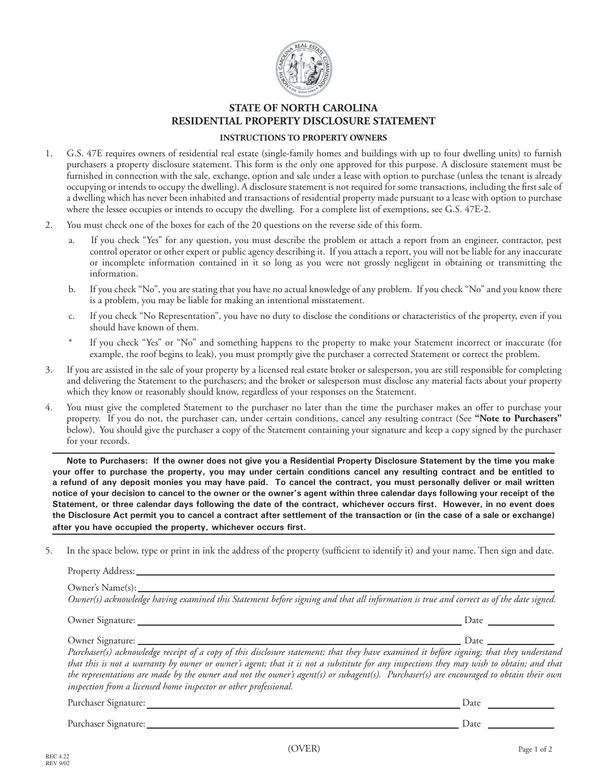

## **STATE OF NORTH CAROLINA RESIDENTIAL PROPERTY DISCLOSURE STATEMENT**

## **INSTRUCTIONS TO PROPERTY OWNERS**

- 1. G.S. 47E requires owners of residential real estate (single-family homes and buildings with up to four dwelling units) to furnish purchasers a property disclosure statement. This form is the only one approved for this purpose. A disclosure statement must be furnished in connection with the sale, exchange, option and sale under a lease with option to purchase (unless the tenant is already occupying or intends to occupy the dwelling). A disclosure statement is not required for some transactions, including the first sale of a dwelling which has never been inhabited and transactions of residential property made pursuant to a lease with option to purchase where the lessee occupies or intends to occupy the dwelling. For a complete list of exemptions, see G.S. 47E-2.
- 2. You must check one of the boxes for each of the 20 questions on the reverse side of this form.
	- If you check "Yes" for any question, you must describe the problem or attach a report from an engineer, contractor, pest control operator or other expert or public agency describing it. If you attach a report, you will not be liable for any inaccurate or incomplete information contained in it so long as you were not grossly negligent in obtaining or transmitting the information.
	- b. If you check "No", you are stating that you have no actual knowledge of any problem. If you check "No" and you know there is a problem, you may be liable for making an intentional misstatement.
	- c. If you check "No Representation", you have no duty to disclose the conditions or characteristics of the property, even if you should have known of them.
	- \* If you check "Yes" or "No" and something happens to the property to make your Statement incorrect or inaccurate (for example, the roof begins to leak), you must promptly give the purchaser a corrected Statement or correct the problem.
- 3. If you are assisted in the sale of your property by a licensed real estate broker or salesperson, you are still responsible for completing and delivering the Statement to the purchasers; and the broker or salesperson must disclose any material facts about your property which they know or reasonably should know, regardless of your responses on the Statement.
- 4. You must give the completed Statement to the purchaser no later than the time the purchaser makes an offer to purchase your property. If you do not, the purchaser can, under certain conditions, cancel any resulting contract (See **"Note to Purchasers"** below). You should give the purchaser a copy of the Statement containing your signature and keep a copy signed by the purchaser for your records.

**Note to Purchasers: If the owner does not give you a Residential Property Disclosure Statement by the time you make your offer to purchase the property, you may under certain conditions cancel any resulting contract and be entitled to a refund of any deposit monies you may have paid. To cancel the contract, you must personally deliver or mail written notice of your decision to cancel to the owner or the owner's agent within three calendar days following your receipt of the Statement, or three calendar days following the date of the contract, whichever occurs first. However, in no event does the Disclosure Act permit you to cancel a contract after settlement of the transaction or (in the case of a sale or exchange) after you have occupied the property, whichever occurs first.**

5. In the space below, type or print in ink the address of the property (sufficient to identify it) and your name. Then sign and date.

Property Address:

Owner's Name(s):

*Owner(s) acknowledge having examined this Statement before signing and that all information is true and correct as of the date signed.*

Owner Signature: Date

Owner Signature: Date

*Purchaser(s) acknowledge receipt of a copy of this disclosure statement; that they have examined it before signing; that they understand that this is not a warranty by owner or owner's agent; that it is not a substitute for any inspections they may wish to obtain; and that the representations are made by the owner and not the owner's agent(s) or subagent(s). Purchaser(s) are encouraged to obtain their own inspection from a licensed home inspector or other professional.*

Purchaser Signature: <u>Date and Signature:</u> Date and Date and Date and Date and Date and Date and Date and Date and Date and Date and Date and Date and Date and Date and Date and Date and Date and Date and Date and Date and

Purchaser Signature: Date 2014 and 2014 and 2014 and 2014 and 2014 and 2014 and 2014 and 2014 and 2014 and 2014 and 2014 and 2014 and 2014 and 2014 and 2014 and 2014 and 2014 and 2014 and 2014 and 2014 and 2014 and 2014 an